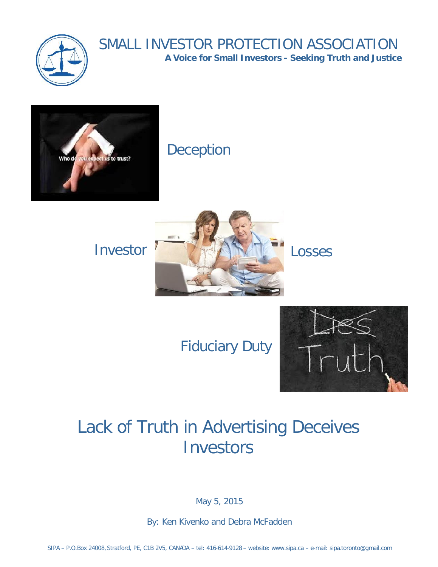

# SMALL INVESTOR PROTECTION ASSOCIATION

**A Voice for Small Investors - Seeking Truth and Justice**



# Deception



Fiduciary Duty



# Lack of Truth in Advertising Deceives **Investors**

May 5, 2015

By: Ken Kivenko and Debra McFadden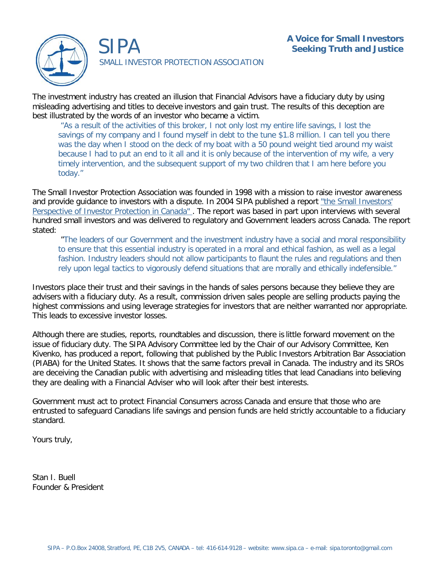

SIPA

SMALL INVESTOR PROTECTION ASSOCIATION

The investment industry has created an illusion that Financial Advisors have a fiduciary duty by using misleading advertising and titles to deceive investors and gain trust. The results of this deception are best illustrated by the words of an investor who became a victim.

"As a result of the activities of this broker, I not only lost my entire life savings, I lost the savings of my company and I found myself in debt to the tune \$1.8 million. I can tell you there was the day when I stood on the deck of my boat with a 50 pound weight tied around my waist because I had to put an end to it all and it is only because of the intervention of my wife, a very timely intervention, and the subsequent support of my two children that I am here before you today."

The Small Investor Protection Association was founded in 1998 with a mission to raise investor awareness and provide guidance to investors with a dispute. In 2004 SIPA published a report "the Small Investors' Perspective of Investor Protection in Canada". The report was based in part upon interviews with several hundred small investors and was delivered to regulatory and Government leaders across Canada. The report stated:

 "The leaders of our Government and the investment industry have a social and moral responsibility to ensure that this essential industry is operated in a moral and ethical fashion, as well as a legal fashion. Industry leaders should not allow participants to flaunt the rules and regulations and then rely upon legal tactics to vigorously defend situations that are morally and ethically indefensible."

Investors place their trust and their savings in the hands of sales persons because they believe they are advisers with a fiduciary duty. As a result, commission driven sales people are selling products paying the highest commissions and using leverage strategies for investors that are neither warranted nor appropriate. This leads to excessive investor losses.

Although there are studies, reports, roundtables and discussion, there is little forward movement on the issue of fiduciary duty. The SIPA Advisory Committee led by the Chair of our Advisory Committee, Ken Kivenko, has produced a report, following that published by the Public Investors Arbitration Bar Association (PIABA) for the United States. It shows that the same factors prevail in Canada. The industry and its SROs are deceiving the Canadian public with advertising and misleading titles that lead Canadians into believing they are dealing with a Financial Adviser who will look after their best interests.

Government must act to protect Financial Consumers across Canada and ensure that those who are entrusted to safeguard Canadians life savings and pension funds are held strictly accountable to a fiduciary standard.

Yours truly,

Stan I. Buell Founder & President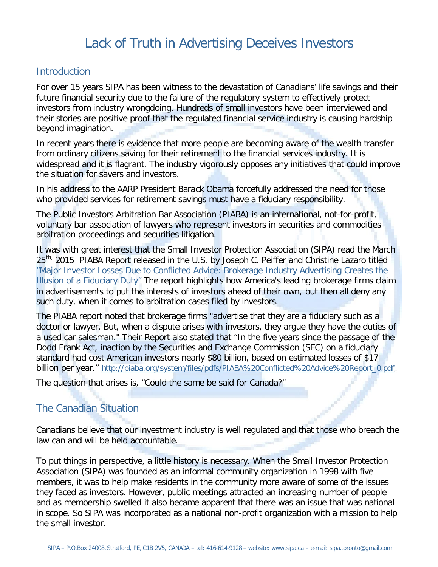# Lack of Truth in Advertising Deceives Investors

### **Introduction**

For over 15 years SIPA has been witness to the devastation of Canadians' life savings and their future financial security due to the failure of the regulatory system to effectively protect investors from industry wrongdoing. Hundreds of small investors have been interviewed and their stories are positive proof that the regulated financial service industry is causing hardship beyond imagination.

In recent years there is evidence that more people are becoming aware of the wealth transfer from ordinary citizens saving for their retirement to the financial services industry. It is widespread and it is flagrant. The industry vigorously opposes any initiatives that could improve the situation for savers and investors.

In his address to the AARP President Barack Obama forcefully addressed the need for those who provided services for retirement savings must have a fiduciary responsibility.

The Public Investors Arbitration Bar Association (PIABA) is an international, not-for-profit, voluntary bar association of lawyers who represent investors in securities and commodities arbitration proceedings and securities litigation.

It was with great interest that the Small Investor Protection Association (SIPA) read the March 25<sup>th,</sup> 2015 PIABA Report released in the U.S. by Joseph C. Peiffer and Christine Lazaro titled "Major Investor Losses Due to Conflicted Advice: Brokerage Industry Advertising Creates the Illusion of a Fiduciary Duty" The report highlights how America's leading brokerage firms claim in advertisements to put the interests of investors ahead of their own, but then all deny any such duty, when it comes to arbitration cases filed by investors.

The PIABA report noted that brokerage firms "advertise that they are a fiduciary such as a doctor or lawyer. But, when a dispute arises with investors, they argue they have the duties of a used car salesman." Their Report also stated that "In the five years since the passage of the Dodd Frank Act, inaction by the Securities and Exchange Commission (SEC) on a fiduciary standard had cost American investors nearly \$80 billion, based on estimated losses of \$17 billion per year." http://piaba.org/system/files/pdfs/PIABA%20Conflicted%20Advice%20Report\_0.pdf

The question that arises is, "Could the same be said for Canada?"

# The Canadian Situation

Canadians believe that our investment industry is well regulated and that those who breach the law can and will be held accountable.

To put things in perspective, a little history is necessary. When the Small Investor Protection Association (SIPA) was founded as an informal community organization in 1998 with five members, it was to help make residents in the community more aware of some of the issues they faced as investors. However, public meetings attracted an increasing number of people and as membership swelled it also became apparent that there was an issue that was national in scope. So SIPA was incorporated as a national non-profit organization with a mission to help the small investor.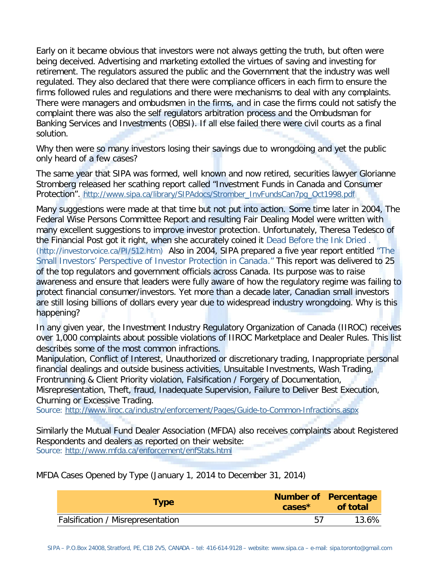Early on it became obvious that investors were not always getting the truth, but often were being deceived. Advertising and marketing extolled the virtues of saving and investing for retirement. The regulators assured the public and the Government that the industry was well regulated. They also declared that there were compliance officers in each firm to ensure the firms followed rules and regulations and there were mechanisms to deal with any complaints. There were managers and ombudsmen in the firms, and in case the firms could not satisfy the complaint there was also the self regulators arbitration process and the Ombudsman for Banking Services and Investments (OBSI). If all else failed there were civil courts as a final solution.

Why then were so many investors losing their savings due to wrongdoing and yet the public only heard of a few cases?

The same year that SIPA was formed, well known and now retired, securities lawyer Glorianne Stromberg released her scathing report called "Investment Funds in Canada and Consumer Protection". http://www.sipa.ca/library/SIPAdocs/Stromber\_InvFundsCan7pg\_Oct1998.pdf

Many suggestions were made at that time but not put into action. Some time later in 2004, The Federal Wise Persons Committee Report and resulting Fair Dealing Model were written with many excellent suggestions to improve investor protection. Unfortunately, Theresa Tedesco of the Financial Post got it right, when she accurately coined it Dead Before the Ink Dried . (http://investorvoice.ca/PI/512.htm) Also in 2004, SIPA prepared a five year report entitled "The Small Investors' Perspective of Investor Protection in Canada." This report was delivered to 25 of the top regulators and government officials across Canada. Its purpose was to raise awareness and ensure that leaders were fully aware of how the regulatory regime was failing to protect financial consumer/investors. Yet more than a decade later, Canadian small investors are still losing billions of dollars every year due to widespread industry wrongdoing. Why is this happening?

In any given year, the Investment Industry Regulatory Organization of Canada (IIROC) receives over 1,000 complaints about possible violations of IIROC Marketplace and Dealer Rules. This list describes some of the most common infractions.

Manipulation, Conflict of Interest, Unauthorized or discretionary trading, Inappropriate personal financial dealings and outside business activities, Unsuitable Investments, Wash Trading, Frontrunning & Client Priority violation, Falsification / Forgery of Documentation,

Misrepresentation, Theft, fraud, Inadequate Supervision, Failure to Deliver Best Execution, Churning or Excessive Trading.

Source: http://www.iiroc.ca/industry/enforcement/Pages/Guide-to-Common-Infractions.aspx

Similarly the Mutual Fund Dealer Association (MFDA) also receives complaints about Registered Respondents and dealers as reported on their website: Source: http://www.mfda.ca/enforcement/enfStats.html

MFDA Cases Opened by Type (January 1, 2014 to December 31, 2014)

| <b>Type</b>                       | $cases^*$ | Number of Percentage<br>of total |
|-----------------------------------|-----------|----------------------------------|
| Falsification / Misrepresentation | 57        | 13.6%                            |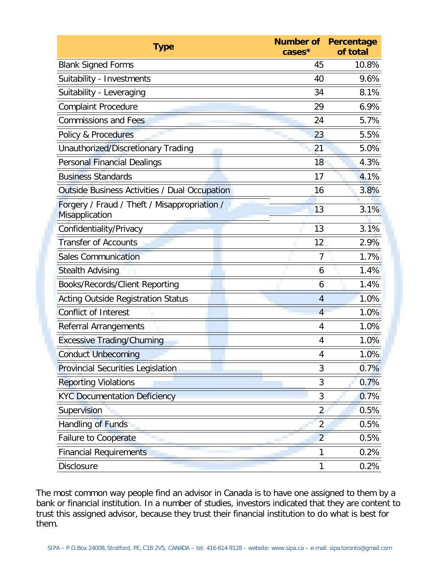| Type                                                           | cases <sup>*</sup> | Number of Percentage<br>of total |
|----------------------------------------------------------------|--------------------|----------------------------------|
| <b>Blank Signed Forms</b>                                      | 45                 | 10.8%                            |
| Suitability - Investments                                      | 40                 | 9.6%                             |
| Suitability - Leveraging                                       | 34                 | 8.1%                             |
| <b>Complaint Procedure</b>                                     | 29                 | 6.9%                             |
| <b>Commissions and Fees</b>                                    | 24                 | 5.7%                             |
| Policy & Procedures                                            | 23                 | 5.5%                             |
| Unauthorized/Discretionary Trading                             | 21                 | 5.0%                             |
| <b>Personal Financial Dealings</b>                             | 18                 | 4.3%                             |
| <b>Business Standards</b>                                      | 17                 | 4.1%                             |
| Outside Business Activities / Dual Occupation                  | 16                 | 3.8%                             |
| Forgery / Fraud / Theft / Misappropriation /<br>Misapplication | 13                 | 3.1%                             |
| Confidentiality/Privacy                                        | 13                 | 3.1%                             |
| <b>Transfer of Accounts</b>                                    | 12                 | 2.9%                             |
| <b>Sales Communication</b>                                     | 7                  | 1.7%                             |
| <b>Stealth Advising</b>                                        | 6                  | 1.4%                             |
| Books/Records/Client Reporting                                 | 6                  | 1.4%                             |
| <b>Acting Outside Registration Status</b>                      | 4                  | 1.0%                             |
| <b>Conflict of Interest</b>                                    | $\overline{4}$     | 1.0%                             |
| <b>Referral Arrangements</b>                                   | 4                  | 1.0%                             |
| <b>Excessive Trading/Churning</b>                              | 4                  | 1.0%                             |
| <b>Conduct Unbecoming</b>                                      | 4                  | 1.0%                             |
| <b>Provincial Securities Legislation</b>                       | 3                  | 0.7%                             |
| <b>Reporting Violations</b>                                    | 3                  | 0.7%                             |
| <b>KYC Documentation Deficiency</b>                            | 3                  | 0.7%                             |
| Supervision                                                    | $\overline{2}$     | 0.5%                             |
| Handling of Funds                                              | $\overline{2}$     | 0.5%                             |
| <b>Failure to Cooperate</b>                                    | $\overline{2}$     | 0.5%                             |
| <b>Financial Requirements</b>                                  | 1                  | 0.2%                             |
| Disclosure                                                     | 1                  | 0.2%                             |

The most common way people find an advisor in Canada is to have one assigned to them by a bank or financial institution. In a number of studies, investors indicated that they are content to trust this assigned advisor, because they trust their financial institution to do what is best for them.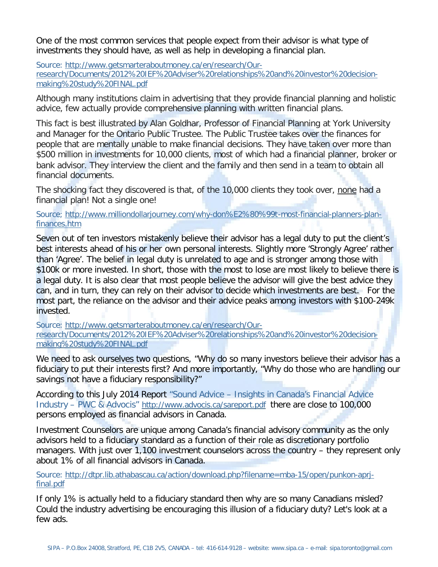One of the most common services that people expect from their advisor is what type of investments they should have, as well as help in developing a financial plan.

Source: http://www.getsmarteraboutmoney.ca/en/research/Ourresearch/Documents/2012%20IEF%20Adviser%20relationships%20and%20investor%20decisionmaking%20study%20FINAL.pdf

Although many institutions claim in advertising that they provide financial planning and holistic advice, few actually provide comprehensive planning with written financial plans.

This fact is best illustrated by Alan Goldhar, Professor of Financial Planning at York University and Manager for the Ontario Public Trustee. The Public Trustee takes over the finances for people that are mentally unable to make financial decisions. They have taken over more than \$500 million in investments for 10,000 clients, most of which had a financial planner, broker or bank advisor. They interview the client and the family and then send in a team to obtain all financial documents.

The shocking fact they discovered is that, of the 10,000 clients they took over, none had a financial plan! Not a single one!

Source; http://www.milliondollarjourney.com/why-don%E2%80%99t-most-financial-planners-planfinances.htm

Seven out of ten investors mistakenly believe their advisor has a legal duty to put the client's best interests ahead of his or her own personal interests. Slightly more 'Strongly Agree' rather than 'Agree'. The belief in legal duty is unrelated to age and is stronger among those with \$100k or more invested. In short, those with the most to lose are most likely to believe there is a legal duty. It is also clear that most people believe the advisor will give the best advice they can, and in turn, they can rely on their advisor to decide which investments are best. For the most part, the reliance on the advisor and their advice peaks among investors with \$100-249k invested.

Source: http://www.getsmarteraboutmoney.ca/en/research/Ourresearch/Documents/2012%20IEF%20Adviser%20relationships%20and%20investor%20decisionmaking%20study%20FINAL.pdf

We need to ask ourselves two questions, "Why do so many investors believe their advisor has a fiduciary to put their interests first? And more importantly, "Why do those who are handling our savings not have a fiduciary responsibility?"

According to this July 2014 Report "Sound Advice – Insights in Canada's Financial Advice Industry – PWC & Advocis" http://www.advocis.ca/sareport.pdf there are close to 100,000 persons employed as financial advisors in Canada.

Investment Counselors are unique among Canada's financial advisory community as the only advisors held to a fiduciary standard as a function of their role as discretionary portfolio managers. With just over 1,100 investment counselors across the country – they represent only about 1% of all financial advisors in Canada.

Source: http://dtpr.lib.athabascau.ca/action/download.php?filename=mba-15/open/punkon-aprjfinal.pdf

If only 1% is actually held to a fiduciary standard then why are so many Canadians misled? Could the industry advertising be encouraging this illusion of a fiduciary duty? Let's look at a few ads.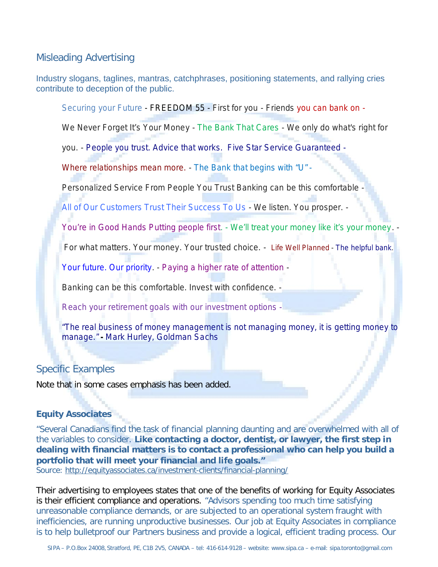#### Misleading Advertising

Industry slogans, taglines, mantras, catchphrases, positioning statements, and rallying cries contribute to deception of the public.

*Securing your Future - FREEDOM 55 - First for you - Friends you can bank on -*

*We Never Forget It's Your Money - The Bank That Cares - We only do what's right for* 

*you. - People you trust. Advice that works. Five Star Service Guaranteed -* 

*Where relationships mean more. - The Bank that begins with "U" -* 

*Personalized Service From People You Trust Banking can be this comfortable -*

*All of Our Customers Trust Their Success To Us - We listen. You prosper. -*

*You're in Good Hands Putting people first. - We'll treat your money like it's your money. -* 

*For what matters. Your money. Your trusted choice. - Life Well Planned - The helpful bank.*

*Your future. Our priority. - Paying a higher rate of attention -*

*Banking can be this comfortable. Invest with confidence. -*

*Reach your retirement goals with our investment options -*

*"The real business of money management is not managing money, it is getting money to manage." - Mark Hurley, Goldman Sachs*

## Specific Examples

Note that in some cases emphasis has been added.

#### **Equity Associates**

"Several Canadians find the task of financial planning daunting and are overwhelmed with all of the variables to consider. **Like contacting a doctor, dentist, or lawyer, the first step in**  Source: http://equityassociates.ca/investment-clients/financial-planning/ **dealing with financial matters is to contact a professional who can help you build a portfolio that will meet your financial and life goals."**

Their advertising to employees states that one of the benefits of working for Equity Associates is their efficient compliance and operations. "Advisors spending too much time satisfying unreasonable compliance demands, or are subjected to an operational system fraught with inefficiencies, are running unproductive businesses. Our job at Equity Associates in compliance is to help bulletproof our Partners business and provide a logical, efficient trading process. Our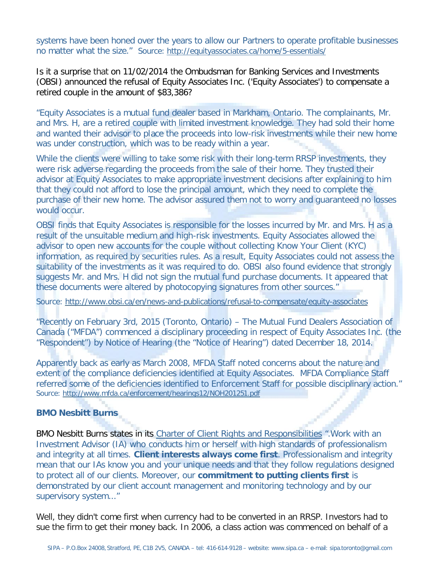systems have been honed over the years to allow our Partners to operate profitable businesses no matter what the size." Source: http://equityassociates.ca/home/5-essentials/

Is it a surprise that on 11/02/2014 the Ombudsman for Banking Services and Investments (OBSI) announced the refusal of Equity Associates Inc. ('Equity Associates') to compensate a retired couple in the amount of \$83,386?

"Equity Associates is a mutual fund dealer based in Markham, Ontario. The complainants, Mr. and Mrs. H, are a retired couple with limited investment knowledge. They had sold their home and wanted their advisor to place the proceeds into low-risk investments while their new home was under construction, which was to be ready within a year.

While the clients were willing to take some risk with their long-term RRSP investments, they were risk adverse regarding the proceeds from the sale of their home. They trusted their advisor at Equity Associates to make appropriate investment decisions after explaining to him that they could not afford to lose the principal amount, which they need to complete the purchase of their new home. The advisor assured them not to worry and guaranteed no losses would occur.

OBSI finds that Equity Associates is responsible for the losses incurred by Mr. and Mrs. H as a result of the unsuitable medium and high-risk investments. Equity Associates allowed the advisor to open new accounts for the couple without collecting Know Your Client (KYC) information, as required by securities rules. As a result, Equity Associates could not assess the suitability of the investments as it was required to do. OBSI also found evidence that strongly suggests Mr. and Mrs. H did not sign the mutual fund purchase documents. It appeared that these documents were altered by photocopying signatures from other sources."

Source: http://www.obsi.ca/en/news-and-publications/refusal-to-compensate/equity-associates

"Recently on February 3rd, 2015 (Toronto, Ontario) – The Mutual Fund Dealers Association of Canada ("MFDA") commenced a disciplinary proceeding in respect of Equity Associates Inc. (the "Respondent") by Notice of Hearing (the "Notice of Hearing") dated December 18, 2014.

Apparently back as early as March 2008, MFDA Staff noted concerns about the nature and extent of the compliance deficiencies identified at Equity Associates. MFDA Compliance Staff referred some of the deficiencies identified to Enforcement Staff for possible disciplinary action." Source: http://www.mfda.ca/enforcement/hearings12/NOH201251.pdf

#### **BMO Nesbitt Burns**

BMO Nesbitt Burns states in its Charter of Client Rights and Responsibilities ".Work with an Investment Advisor (IA) who conducts him or herself with high standards of professionalism and integrity at all times. Client interests always come first. Professionalism and integrity mean that our IAs know you and your unique needs and that they follow regulations designed to protect all of our clients. Moreover, our commitment to putting clients first is demonstrated by our client account management and monitoring technology and by our supervisory system..."

Well, they didn't come first when currency had to be converted in an RRSP. Investors had to sue the firm to get their money back. In 2006, a class action was commenced on behalf of a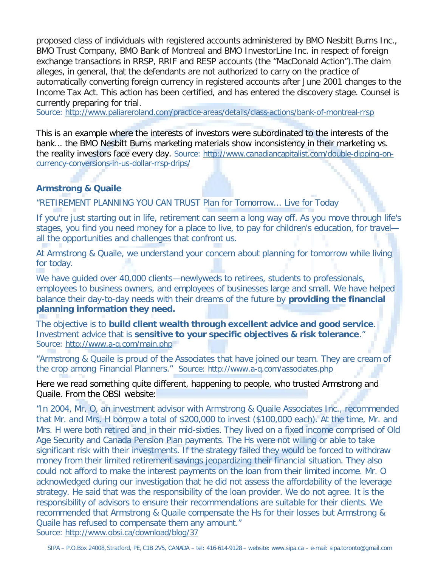proposed class of individuals with registered accounts administered by BMO Nesbitt Burns Inc., BMO Trust Company, BMO Bank of Montreal and BMO InvestorLine Inc. in respect of foreign exchange transactions in RRSP, RRIF and RESP accounts (the "MacDonald Action").The claim alleges, in general, that the defendants are not authorized to carry on the practice of automatically converting foreign currency in registered accounts after June 2001 changes to the Income Tax Act. This action has been certified, and has entered the discovery stage. Counsel is currently preparing for trial.

Source: http://www.paliareroland.com/practice-areas/details/class-actions/bank-of-montreal-rrsp

This is an example where the interests of investors were subordinated to the interests of the bank... the BMO Nesbitt Burns marketing materials show inconsistency in their marketing vs. the reality investors face every day. Source: http://www.canadiancapitalist.com/double-dipping-oncurrency-conversions-in-us-dollar-rrsp-drips/

#### **Armstrong & Quaile**

"RETIREMENT PLANNING YOU CAN TRUST Plan for Tomorrow... Live for Today

If you're just starting out in life, retirement can seem a long way off. As you move through life's stages, you find you need money for a place to live, to pay for children's education, for travel all the opportunities and challenges that confront us.

At Armstrong & Quaile, we understand your concern about planning for tomorrow while living for today.

We have quided over 40,000 clients—newlyweds to retirees, students to professionals, employees to business owners, and employees of businesses large and small. We have helped balance their day-to-day needs with their dreams of the future by **providing the financial planning information they need.**

The objective is to build client wealth through excellent advice and good service. Investment advice that is sensitive to your specific objectives & risk tolerance." Source: http://www.a-q.com/main.php

"Armstrong & Quaile is proud of the Associates that have joined our team. They are cream of the crop among Financial Planners." Source: http://www.a-q.com/associates.php

Here we read something quite different, happening to people, who trusted Armstrong and Quaile. From the OBSI website:

"In 2004, Mr. O, an investment advisor with Armstrong & Quaile Associates Inc., recommended that Mr. and Mrs. H borrow a total of \$200,000 to invest (\$100,000 each). At the time, Mr. and Mrs. H were both retired and in their mid-sixties. They lived on a fixed income comprised of Old Age Security and Canada Pension Plan payments. The Hs were not willing or able to take significant risk with their investments. If the strategy failed they would be forced to withdraw money from their limited retirement savings jeopardizing their financial situation. They also could not afford to make the interest payments on the loan from their limited income. Mr. O acknowledged during our investigation that he did not assess the affordability of the leverage strategy. He said that was the responsibility of the loan provider. We do not agree. It is the responsibility of advisors to ensure their recommendations are suitable for their clients. We recommended that Armstrong & Quaile compensate the Hs for their losses but Armstrong & Quaile has refused to compensate them any amount." Source: http://www.obsi.ca/download/blog/37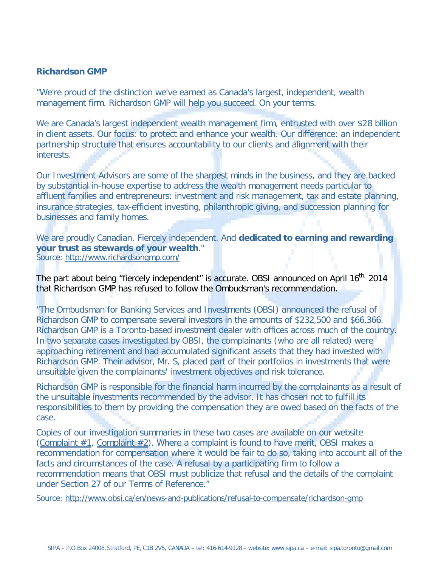#### **Richardson GMP**

"We're proud of the distinction we've earned as Canada's largest, independent, wealth management firm. Richardson GMP will help you succeed. On your terms.

We are Canada's largest independent wealth management firm, entrusted with over \$28 billion in client assets. Our focus: to protect and enhance your wealth. Our difference: an independent partnership structure that ensures accountability to our clients and alignment with their interests.

Our Investment Advisors are some of the sharpest minds in the business, and they are backed by substantial in-house expertise to address the wealth management needs particular to affluent families and entrepreneurs: investment and risk management, tax and estate planning, insurance strategies, tax-efficient investing, philanthropic giving, and succession planning for businesses and family homes.

We are proudly Canadian. Fiercely independent. And **dedicated to earning and rewarding**  ." **your trust as stewards of your wealth**Source: http://www.richardsongmp.com/

The part about being "fiercely independent" is accurate. OBSI announced on April 16<sup>th,</sup> 2014 that Richardson GMP has refused to follow the Ombudsman's recommendation.

"The Ombudsman for Banking Services and Investments (OBSI) announced the refusal of Richardson GMP to compensate several investors in the amounts of \$232,500 and \$66,366. Richardson GMP is a Toronto-based investment dealer with offices across much of the country. In two separate cases investigated by OBSI, the complainants (who are all related) were approaching retirement and had accumulated significant assets that they had invested with Richardson GMP. Their advisor, Mr. S, placed part of their portfolios in investments that were unsuitable given the complainants' investment objectives and risk tolerance.

Richardson GMP is responsible for the financial harm incurred by the complainants as a result of the unsuitable investments recommended by the advisor. It has chosen not to fulfill its responsibilities to them by providing the compensation they are owed based on the facts of the case.

Copies of our investigation summaries in these two cases are available on our website (Complaint #1, Complaint #2). Where a complaint is found to have merit, OBSI makes a recommendation for compensation where it would be fair to do so, taking into account all of the facts and circumstances of the case. A refusal by a participating firm to follow a recommendation means that OBSI must publicize that refusal and the details of the complaint under Section 27 of our Terms of Reference."

Source: http://www.obsi.ca/en/news-and-publications/refusal-to-compensate/richardson-gmp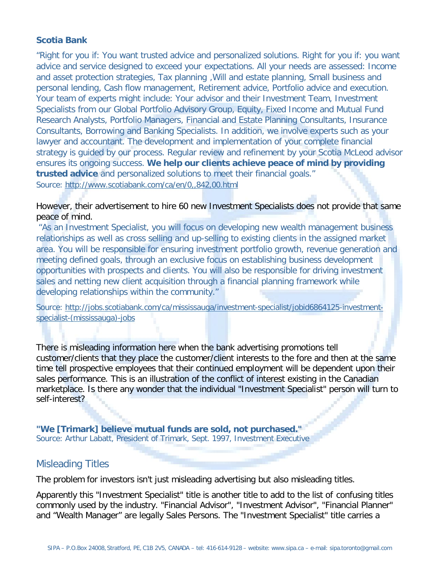#### **Scotia Bank**

"Right for you if: You want trusted advice and personalized solutions. Right for you if: you want advice and service designed to exceed your expectations. All your needs are assessed: Income and asset protection strategies, Tax planning ,Will and estate planning, Small business and personal lending, Cash flow management, Retirement advice, Portfolio advice and execution. Your team of experts might include: Your advisor and their Investment Team, Investment Specialists from our Global Portfolio Advisory Group, Equity, Fixed Income and Mutual Fund Research Analysts, Portfolio Managers, Financial and Estate Planning Consultants, Insurance Consultants, Borrowing and Banking Specialists. In addition, we involve experts such as your lawyer and accountant. The development and implementation of your complete financial strategy is guided by our process. Regular review and refinement by your Scotia McLeod advisor ensures its ongoing success. **We help our clients achieve peace of mind by providing**  trusted advice and personalized solutions to meet their financial goals." Source: http://www.scotiabank.com/ca/en/0,,842,00.html

#### However, their advertisement to hire 60 new Investment Specialists does not provide that same peace of mind.

"As an Investment Specialist, you will focus on developing new wealth management business relationships as well as cross selling and up-selling to existing clients in the assigned market area. You will be responsible for ensuring investment portfolio growth, revenue generation and meeting defined goals, through an exclusive focus on establishing business development opportunities with prospects and clients. You will also be responsible for driving investment sales and netting new client acquisition through a financial planning framework while developing relationships within the community."

Source: http://jobs.scotiabank.com/ca/mississauga/investment-specialist/jobid6864125-investmentspecialist-(mississauga)-jobs

There is misleading information here when the bank advertising promotions tell customer/clients that they place the customer/client interests to the fore and then at the same time tell prospective employees that their continued employment will be dependent upon their sales performance. This is an illustration of the conflict of interest existing in the Canadian marketplace. Is there any wonder that the individual "Investment Specialist" person will turn to self-interest?

Source: Arthur Labatt, President of Trimark, Sept. 1997, Investment Executive **"We [Trimark] believe mutual funds are sold, not purchased."** 

## Misleading Titles

The problem for investors isn't just misleading advertising but also misleading titles.

Apparently this "Investment Specialist" title is another title to add to the list of confusing titles commonly used by the industry. "Financial Advisor", "Investment Advisor", "Financial Planner" and "Wealth Manager" are legally Sales Persons. The "Investment Specialist" title carries a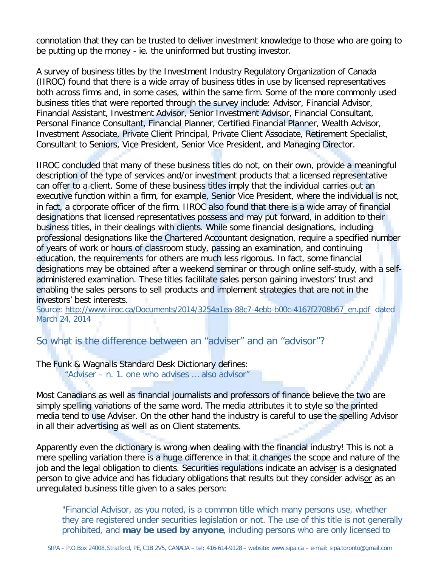connotation that they can be trusted to deliver investment knowledge to those who are going to be putting up the money - ie. the uninformed but trusting investor.

A survey of business titles by the Investment Industry Regulatory Organization of Canada (IIROC) found that there is a wide array of business titles in use by licensed representatives both across firms and, in some cases, within the same firm. Some of the more commonly used business titles that were reported through the survey include: Advisor, Financial Advisor, Financial Assistant, Investment Advisor, Senior Investment Advisor, Financial Consultant, Personal Finance Consultant, Financial Planner, Certified Financial Planner, Wealth Advisor, Investment Associate, Private Client Principal, Private Client Associate, Retirement Specialist, Consultant to Seniors, Vice President, Senior Vice President, and Managing Director.

IIROC concluded that many of these business titles do not, on their own, provide a meaningful description of the type of services and/or investment products that a licensed representative can offer to a client. Some of these business titles imply that the individual carries out an executive function within a firm, for example, Senior Vice President, where the individual is not, in fact, a corporate officer of the firm. IIROC also found that there is a wide array of financial designations that licensed representatives possess and may put forward, in addition to their business titles, in their dealings with clients. While some financial designations, including professional designations like the Chartered Accountant designation, require a specified number of years of work or hours of classroom study, passing an examination, and continuing education, the requirements for others are much less rigorous. In fact, some financial designations may be obtained after a weekend seminar or through online self-study, with a selfadministered examination. These titles facilitate sales person gaining investors' trust and enabling the sales persons to sell products and implement strategies that are not in the investors' best interests.

Source: http://www.iiroc.ca/Documents/2014/3254a1ea-88c7-4ebb-b00c-4167f2708b67\_en.pdf dated March 24, 2014

## So what is the difference between an "adviser" and an "advisor"?

The Funk & Wagnalls Standard Desk Dictionary defines:

"Adviser – n. 1. one who advises … also advisor"

Most Canadians as well as financial journalists and professors of finance believe the two are simply spelling variations of the same word. The media attributes it to style so the printed media tend to use Adviser. On the other hand the industry is careful to use the spelling Advisor in all their advertising as well as on Client statements.

Apparently even the dictionary is wrong when dealing with the financial industry! This is not a mere spelling variation there is a huge difference in that it changes the scope and nature of the job and the legal obligation to clients. Securities regulations indicate an adviser is a designated person to give advice and has fiduciary obligations that results but they consider advisor as an unregulated business title given to a sales person:

"Financial Advisor, as you noted, is a common title which many persons use, whether they are registered under securities legislation or not. The use of this title is not generally prohibited, and **may be used by anyone**, including persons who are only licensed to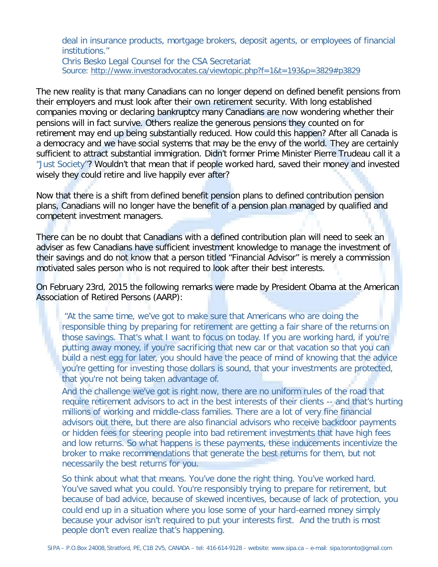deal in insurance products, mortgage brokers, deposit agents, or employees of financial institutions."

Chris Besko Legal Counsel for the CSA Secretariat Source: http://www.investoradvocates.ca/viewtopic.php?f=1&t=193&p=3829#p3829

The new reality is that many Canadians can no longer depend on defined benefit pensions from their employers and must look after their own retirement security. With long established companies moving or declaring bankruptcy many Canadians are now wondering whether their pensions will in fact survive. Others realize the generous pensions they counted on for retirement may end up being substantially reduced. How could this happen? After all Canada is a democracy and we have social systems that may be the envy of the world. They are certainly sufficient to attract substantial immigration. Didn't former Prime Minister Pierre Trudeau call it a "Just Society"? Wouldn't that mean that if people worked hard, saved their money and invested wisely they could retire and live happily ever after?

Now that there is a shift from defined benefit pension plans to defined contribution pension plans, Canadians will no longer have the benefit of a pension plan managed by qualified and competent investment managers.

There can be no doubt that Canadians with a defined contribution plan will need to seek an adviser as few Canadians have sufficient investment knowledge to manage the investment of their savings and do not know that a person titled "Financial Advisor" is merely a commission motivated sales person who is not required to look after their best interests.

On February 23rd, 2015 the following remarks were made by President Obama at the American Association of Retired Persons (AARP):

"At the same time, we've got to make sure that Americans who are doing the responsible thing by preparing for retirement are getting a fair share of the returns on those savings. That's what I want to focus on today. If you are working hard, if you're putting away money, if you're sacrificing that new car or that vacation so that you can build a nest egg for later, you should have the peace of mind of knowing that the advice you're getting for investing those dollars is sound, that your investments are protected, that you're not being taken advantage of.

And the challenge we've got is right now, there are no uniform rules of the road that require retirement advisors to act in the best interests of their clients -- and that's hurting millions of working and middle-class families. There are a lot of very fine financial advisors out there, but there are also financial advisors who receive backdoor payments or hidden fees for steering people into bad retirement investments that have high fees and low returns. So what happens is these payments, these inducements incentivize the broker to make recommendations that generate the best returns for them, but not necessarily the best returns for you.

So think about what that means. You've done the right thing. You've worked hard. You've saved what you could. You're responsibly trying to prepare for retirement, but because of bad advice, because of skewed incentives, because of lack of protection, you could end up in a situation where you lose some of your hard-earned money simply because your advisor isn't required to put your interests first. And the truth is most people don't even realize that's happening.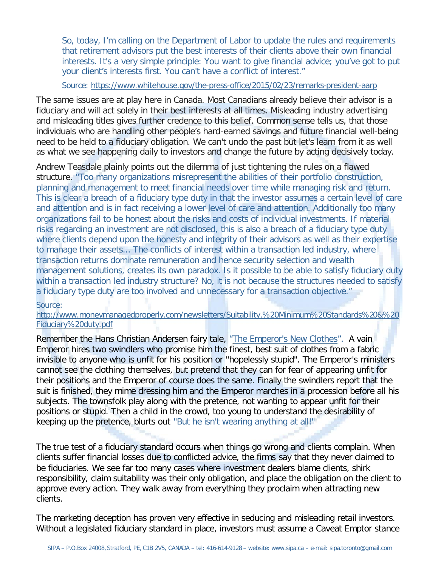So, today, I'm calling on the Department of Labor to update the rules and requirements that retirement advisors put the best interests of their clients above their own financial interests. It's a very simple principle: You want to give financial advice; you've got to put your client's interests first. You can't have a conflict of interest."

#### Source: https://www.whitehouse.gov/the-press-office/2015/02/23/remarks-president-aarp

The same issues are at play here in Canada. Most Canadians already believe their advisor is a fiduciary and will act solely in their best interests at all times. Misleading industry advertising and misleading titles gives further credence to this belief. Common sense tells us, that those individuals who are handling other people's hard-earned savings and future financial well-being need to be held to a fiduciary obligation. We can't undo the past but let's learn from it as well as what we see happening daily to investors and change the future by acting decisively today.

Andrew Teasdale plainly points out the dilemma of just tightening the rules on a flawed structure. "Too many organizations misrepresent the abilities of their portfolio construction, planning and management to meet financial needs over time while managing risk and return. This is clear a breach of a fiduciary type duty in that the investor assumes a certain level of care and attention and is in fact receiving a lower level of care and attention. Additionally too many organizations fail to be honest about the risks and costs of individual investments. If material risks regarding an investment are not disclosed, this is also a breach of a fiduciary type duty where clients depend upon the honesty and integrity of their advisors as well as their expertise to manage their assets... The conflicts of interest within a transaction led industry, where transaction returns dominate remuneration and hence security selection and wealth management solutions, creates its own paradox. Is it possible to be able to satisfy fiduciary duty within a transaction led industry structure? No, it is not because the structures needed to satisfy a fiduciary type duty are too involved and unnecessary for a transaction objective."

#### Source:

http://www.moneymanagedproperly.com/newsletters/Suitability,%20Minimum%20Standards%20&%20 Fiduciary%20duty.pdf

Remember the Hans Christian Andersen fairy tale, "The Emperor's New Clothes". A vain Emperor hires two swindlers who promise him the finest, best suit of clothes from a fabric invisible to anyone who is unfit for his position or "hopelessly stupid". The Emperor's ministers cannot see the clothing themselves, but pretend that they can for fear of appearing unfit for their positions and the Emperor of course does the same. Finally the swindlers report that the suit is finished, they mime dressing him and the Emperor marches in a procession before all his subjects. The townsfolk play along with the pretence, not wanting to appear unfit for their positions or stupid. Then a child in the crowd, too young to understand the desirability of keeping up the pretence, blurts out "But he isn't wearing anything at all!"

The true test of a fiduciary standard occurs when things go wrong and clients complain. When clients suffer financial losses due to conflicted advice, the firms say that they never claimed to be fiduciaries. We see far too many cases where investment dealers blame clients, shirk responsibility, claim suitability was their only obligation, and place the obligation on the client to approve every action. They walk away from everything they proclaim when attracting new clients.

The marketing deception has proven very effective in seducing and misleading retail investors. Without a legislated fiduciary standard in place, investors must assume a Caveat Emptor stance